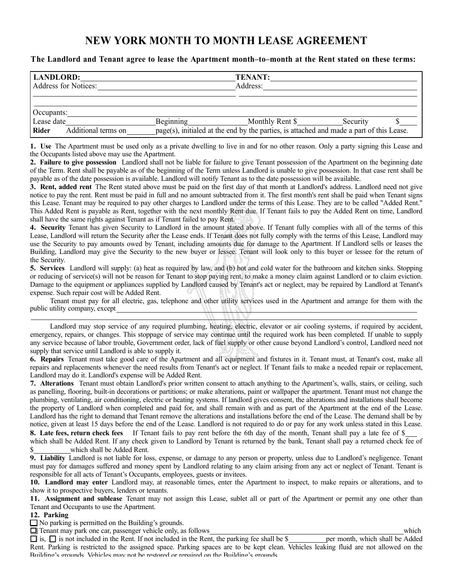## **NEW YORK MONTH TO MONTH LEASE AGREEMENT**

## **The Landlord and Tenant agree to lease the Apartment month–to–month at the Rent stated on these terms:**

| <b>LANDLORD:</b><br>Address for Notices:                 |           | <b>TENANT:</b><br>Address:                                                                                  |          |  |  |
|----------------------------------------------------------|-----------|-------------------------------------------------------------------------------------------------------------|----------|--|--|
| Occupants:<br>Lease date<br>Rider<br>Additional terms on | Beginning | Monthly Rent \$<br>page(s), initialed at the end by the parties, is attached and made a part of this Lease. | Security |  |  |

**1. Use** The Apartment must be used only as a private dwelling to live in and for no other reason. Only a party signing this Lease and the Occupants listed above may use the Apartment.

**2. Failure to give possession** Landlord shall not be liable for failure to give Tenant possession of the Apartment on the beginning date of the Term. Rent shall be payable as of the beginning of the Term unless Landlord is unable to give possession. In that case rent shall be payable as of the date possession is available. Landlord will notify Tenant as to the date possession will be available.

**3. Rent, added rent** The Rent stated above must be paid on the first day of that month at Landlord's address. Landlord need not give notice to pay the rent. Rent must be paid in full and no amount subtracted from it. The first month's rent shall be paid when Tenant signs this Lease. Tenant may be required to pay other charges to Landlord under the terms of this Lease. They are to be called "Added Rent." This Added Rent is payable as Rent, together with the next monthly Rent due. If Tenant fails to pay the Added Rent on time, Landlord shall have the same rights against Tenant as if Tenant failed to pay Rent.

**4. Security** Tenant has given Security to Landlord in the amount stated above. If Tenant fully complies with all of the terms of this Lease, Landlord will return the Security after the Lease ends. If Tenant does not fully comply with the terms of this Lease, Landlord may use the Security to pay amounts owed by Tenant, including amounts due for damage to the Apartment. If Landlord sells or leases the Building, Landlord may give the Security to the new buyer or lessee. Tenant will look only to this buyer or lessee for the return of the Security.

**5. Services** Landlord will supply: (a) heat as required by law, and (b) hot and cold water for the bathroom and kitchen sinks. Stopping or reducing of service(s) will not be reason for Tenant to stop paying rent, to make a money claim against Landlord or to claim eviction. Damage to the equipment or appliances supplied by Landlord caused by Tenant's act or neglect, may be repaired by Landlord at Tenant's expense. Such repair cost will be Added Rent.

Tenant must pay for all electric, gas, telephone and other utility services used in the Apartment and arrange for them with the public utility company, except

Landlord may stop service of any required plumbing, heating, electric, elevator or air cooling systems, if required by accident, emergency, repairs, or changes. This stoppage of service may continue until the required work has been completed. If unable to supply any service because of labor trouble, Government order, lack of fuel supply or other cause beyond Landlord's control, Landlord need not supply that service until Landlord is able to supply it.

**6. Repairs** Tenant must take good care of the Apartment and all equipment and fixtures in it. Tenant must, at Tenant's cost, make all repairs and replacements whenever the need results from Tenant's act or neglect. If Tenant fails to make a needed repair or replacement, Landlord may do it. Landlord's expense will be Added Rent.

**7. Alterations** Tenant must obtain Landlord's prior written consent to attach anything to the Apartment's, walls, stairs, or ceiling, such as panelling, flooring, built-in decorations or partitions; or make alterations, paint or wallpaper the apartment. Tenant must not change the plumbing, ventilating, air conditioning, electric or heating systems. If landlord gives consent, the alterations and installations shall become the property of Landlord when completed and paid for, and shall remain with and as part of the Apartment at the end of the Lease. Landlord has the right to demand that Tenant remove the alterations and installations before the end of the Lease. The demand shall be by notice, given at least 15 days before the end of the Lease. Landlord is not required to do or pay for any work unless stated in this Lease. **8. Late fees, return check fees** If Tenant fails to pay rent before the 6th day of the month, Tenant shall pay a late fee of \$

which shall be Added Rent. If any check given to Landlord by Tenant is returned by the bank, Tenant shall pay a returned check fee of \$ which shall be Added Rent.

**9. Liability** Landlord is not liable for loss, expense, or damage to any person or property, unless due to Landlord's negligence. Tenant must pay for damages suffered and money spent by Landlord relating to any claim arising from any act or neglect of Tenant. Tenant is responsible for all acts of Tenant's Occupants, employees, guests or invitees.

**10. Landlord may enter** Landlord may, at reasonable times, enter the Apartment to inspect, to make repairs or alterations, and to show it to prospective buyers, lenders or tenants.

**11. Assignment and sublease** Tenant may not assign this Lease, sublet all or part of the Apartment or permit any one other than Tenant and Occupants to use the Apartment.

**12. Parking**

 $\Box$  No parking is permitted on the Building's grounds.

 $\Box$  Tenant may park one car, passenger vehicle only, as follows which

 $\Box$  is,  $\Box$  is not included in the Rent. If not included in the Rent, the parking fee shall be \$ per month, which shall be Added Rent. Parking is restricted to the assigned space. Parking spaces are to be kept clean. Vehicles leaking fluid are not allowed on the Building's grounds. Vehicles may not be restored or repaired on the Building's grounds.